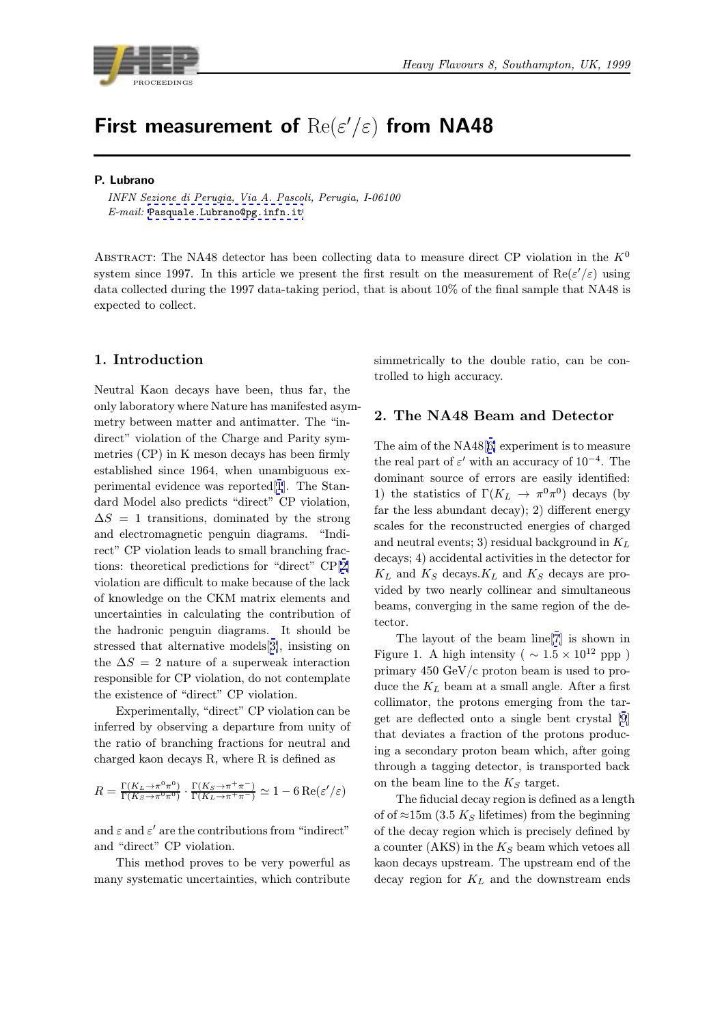

# First measurement of  $\text{Re}(\varepsilon'/\varepsilon)$  from NA48

## P. Lubrano

INFN Sezione di Perugia, Via A. Pascoli, Perugia, I-06100 E-mail: Pasquale.Lubrano@pg.infn.it

ABSTRACT: The NA48 detector has been collecting data to measure direct CP violation in the  $K^0$ system si[nce 1997. In this article we p](mailto:Pasquale.Lubrano@pg.infn.it)resent the first result on the measurement of  $\text{Re}(\varepsilon'/\varepsilon)$  using data collected during the 1997 data-taking period, that is about 10% of the final sample that NA48 is expected to collect.

# 1. Introduction

Neutral Kaon decays have been, thus far, the only laboratory where Nature has manifested asymmetry between matter and antimatter. The "indirect" violation of the Charge and Parity symmetries (CP) in K meson decays has been firmly established since 1964, when unambiguous experimental evidence was reported[1]. The Standard Model also predicts "direct" CP violation,  $\Delta S = 1$  transitions, dominated by the strong and electromagnetic penguin diagrams. "Indirect" CP violation leads to small [bra](#page-6-0)nching fractions: theoretical predictions for "direct" CP[2] violation are difficult to make because of the lack of knowledge on the CKM matrix elements and uncertainties in calculating the contribution of the hadronic penguin diagrams. It should [be](#page-6-0) stressed that alternative models[3], insisting on the  $\Delta S = 2$  nature of a superweak interaction responsible for CP violation, do not contemplate the existence of "direct" CP violation.

Experimentally, "direct" CP [vi](#page-6-0)olation can be inferred by observing a departure from unity of the ratio of branching fractions for neutral and charged kaon decays R, where R is defined as

$$
R = \frac{\Gamma(K_L \to \pi^0 \pi^0)}{\Gamma(K_S \to \pi^0 \pi^0)} \cdot \frac{\Gamma(K_S \to \pi^+ \pi^-)}{\Gamma(K_L \to \pi^+ \pi^-)} \simeq 1 - 6 \operatorname{Re}(\varepsilon'/\varepsilon)
$$

and  $\varepsilon$  and  $\varepsilon'$  are the contributions from "indirect" and "direct" CP violation.

This method proves to be very powerful as many systematic uncertainties, which contribute simmetrically to the double ratio, can be controlled to high accuracy.

# 2. The NA48 Beam and Detector

The aim of the NA48[6] experiment is to measure the real part of  $\varepsilon'$  with an accuracy of 10<sup>-4</sup>. The dominant source of errors are easily identified: 1) the statistics of  $\Gamma(K_L \to \pi^0 \pi^0)$  decays (by far the less abundant [d](#page-6-0)ecay); 2) different energy scales for the reconstructed energies of charged and neutral events; 3) residual background in  $K_L$ decays; 4) accidental activities in the detector for  $K_L$  and  $K_S$  decays. $K_L$  and  $K_S$  decays are provided by two nearly collinear and simultaneous beams, converging in the same region of the detector.

The layout of the beam line[7] is shown in Figure 1. A high intensity ( $\sim 1.5 \times 10^{12}$  ppp) primary 450 GeV/c proton beam is used to produce the  $K_L$  beam at a small angle. After a first collimator, the protons emerging [f](#page-6-0)rom the target are deflected onto a single bent crystal [9] that deviates a fraction of the protons producing a secondary proton beam which, after going through a tagging detector, is transported ba[ck](#page-6-0) on the beam line to the  $K<sub>S</sub>$  target.

The fiducial decay region is defined as a length of of  $\approx$ 15m (3.5 K<sub>S</sub> lifetimes) from the beginning of the decay region which is precisely defined by a counter (AKS) in the  $K_S$  beam which vetoes all kaon decays upstream. The upstream end of the decay region for  $K_L$  and the downstream ends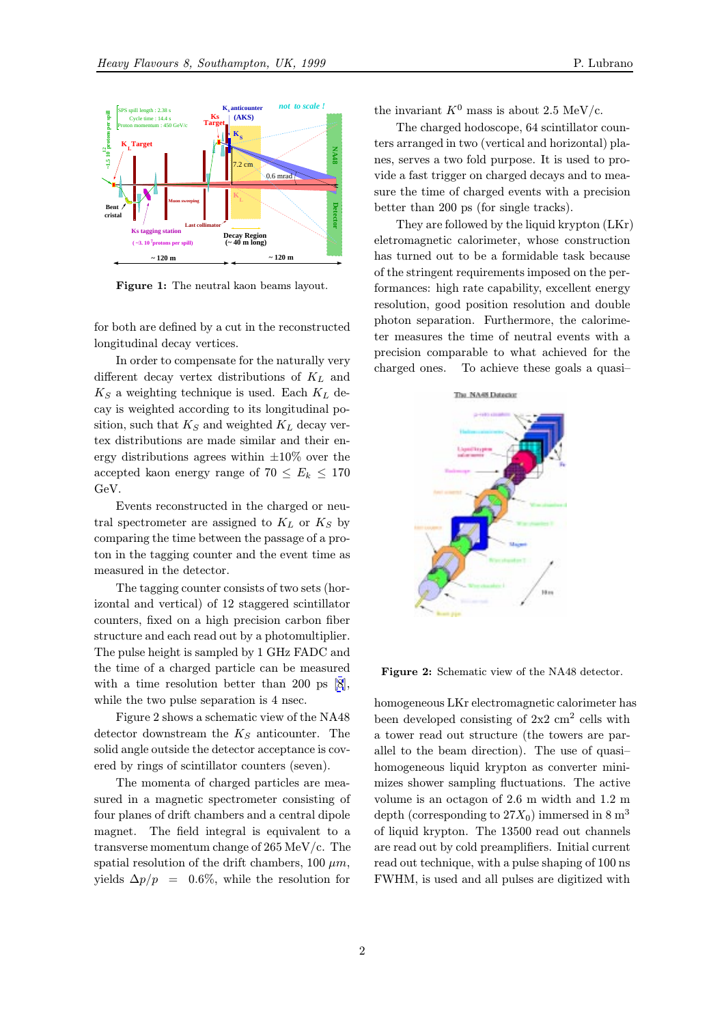

Figure 1: The neutral kaon beams layout.

for both are defined by a cut in the reconstructed longitudinal decay vertices.

In order to compensate for the naturally very different decay vertex distributions of  $K_L$  and  $K_S$  a weighting technique is used. Each  $K_L$  decay is weighted according to its longitudinal position, such that  $K_S$  and weighted  $K_L$  decay vertex distributions are made similar and their energy distributions agrees within  $\pm 10\%$  over the accepted kaon energy range of  $70 \le E_k \le 170$ GeV.

Events reconstructed in the charged or neutral spectrometer are assigned to  $K_L$  or  $K_S$  by comparing the time between the passage of a proton in the tagging counter and the event time as measured in the detector.

The tagging counter consists of two sets (horizontal and vertical) of 12 staggered scintillator counters, fixed on a high precision carbon fiber structure and each read out by a photomultiplier. The pulse height is sampled by 1 GHz FADC and the time of a charged particle can be measured with a time resolution better than 200 ps [8], while the two pulse separation is 4 nsec.

Figure 2 shows a schematic view of the NA48 detector downstream the  $K_S$  anticounter. The solid angle outside the detector acceptance is c[ov](#page-6-0)ered by rings of scintillator counters (seven).

The momenta of charged particles are measured in a magnetic spectrometer consisting of four planes of drift chambers and a central dipole magnet. The field integral is equivalent to a transverse momentum change of 265 MeV/c. The spatial resolution of the drift chambers, 100  $\mu$ m, yields  $\Delta p/p = 0.6\%$ , while the resolution for

the invariant  $K^0$  mass is about 2.5 MeV/c.

The charged hodoscope, 64 scintillator counters arranged in two (vertical and horizontal) planes, serves a two fold purpose. It is used to provide a fast trigger on charged decays and to measure the time of charged events with a precision better than 200 ps (for single tracks).

They are followed by the liquid krypton (LKr) eletromagnetic calorimeter, whose construction has turned out to be a formidable task because of the stringent requirements imposed on the performances: high rate capability, excellent energy resolution, good position resolution and double photon separation. Furthermore, the calorimeter measures the time of neutral events with a precision comparable to what achieved for the charged ones. To achieve these goals a quasi–



Figure 2: Schematic view of the NA48 detector.

homogeneous LKr electromagnetic calorimeter has been developed consisting of  $2x^2$  cm<sup>2</sup> cells with a tower read out structure (the towers are parallel to the beam direction). The use of quasi– homogeneous liquid krypton as converter minimizes shower sampling fluctuations. The active volume is an octagon of 2.6 m width and 1.2 m depth (corresponding to  $27X_0$ ) immersed in 8 m<sup>3</sup> of liquid krypton. The 13500 read out channels are read out by cold preamplifiers. Initial current read out technique, with a pulse shaping of 100 ns FWHM, is used and all pulses are digitized with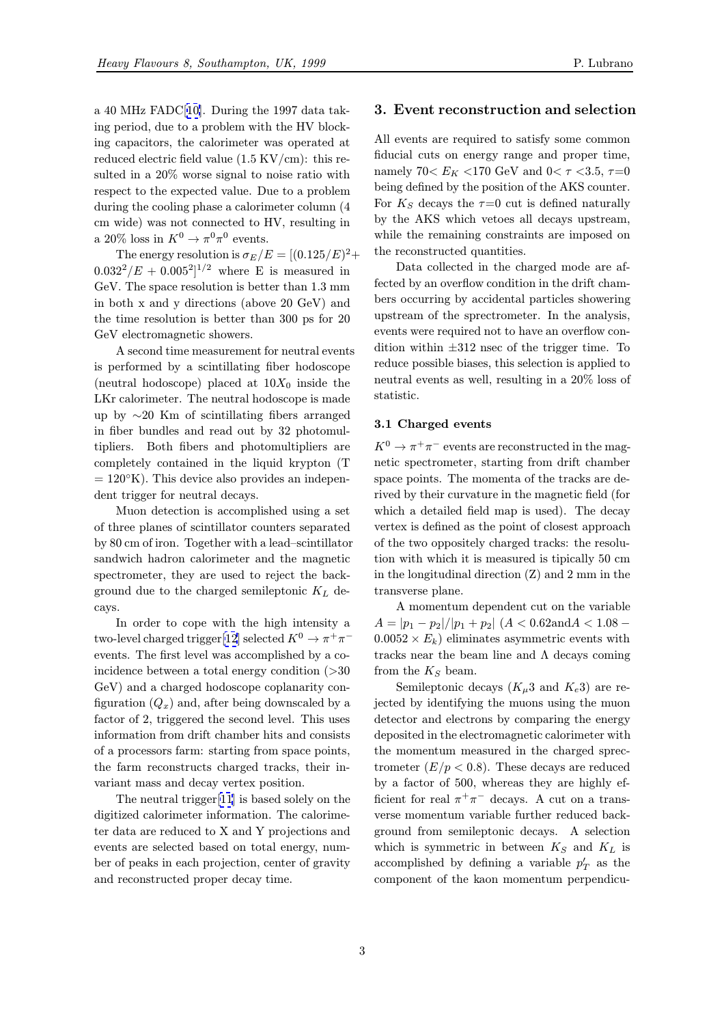a 40 MHz FADC[10]. During the 1997 data taking period, due to a problem with the HV blocking capacitors, the calorimeter was operated at reduced electric field value (1.5 KV/cm): this resulted in a 20% [wor](#page-6-0)se signal to noise ratio with respect to the expected value. Due to a problem during the cooling phase a calorimeter column (4 cm wide) was not connected to HV, resulting in a 20% loss in  $K^0 \to \pi^0 \pi^0$  events.

The energy resolution is  $\sigma_E/E = [(0.125/E)^2 +$  $0.032^2/E + 0.005^2$ <sup>1/2</sup> where E is measured in GeV. The space resolution is better than 1.3 mm in both x and y directions (above 20 GeV) and the time resolution is better than 300 ps for 20 GeV electromagnetic showers.

A second time measurement for neutral events is performed by a scintillating fiber hodoscope (neutral hodoscope) placed at  $10X_0$  inside the LKr calorimeter. The neutral hodoscope is made up by ∼20 Km of scintillating fibers arranged in fiber bundles and read out by 32 photomultipliers. Both fibers and photomultipliers are completely contained in the liquid krypton (T  $= 120°K$ ). This device also provides an independent trigger for neutral decays.

Muon detection is accomplished using a set of three planes of scintillator counters separated by 80 cm of iron. Together with a lead–scintillator sandwich hadron calorimeter and the magnetic spectrometer, they are used to reject the background due to the charged semileptonic  $K_L$  decays.

In order to cope with the high intensity a two-level charged trigger[12] selected  $K^0 \to \pi^+\pi^$ events. The first level was accomplished by a coincidence between a total energy condition (>30 GeV) and a charged hodoscope coplanarity configuration  $(Q_x)$  and, afte[r b](#page-6-0)eing downscaled by a factor of 2, triggered the second level. This uses information from drift chamber hits and consists of a processors farm: starting from space points, the farm reconstructs charged tracks, their invariant mass and decay vertex position.

The neutral trigger[11] is based solely on the digitized calorimeter information. The calorimeter data are reduced to X and Y projections and events are selected based on total energy, number of peaks in each pr[ojec](#page-6-0)tion, center of gravity and reconstructed proper decay time.

#### 3. Event reconstruction and selection

All events are required to satisfy some common fiducial cuts on energy range and proper time, namely 70<  $E_K$ <170 GeV and 0<  $\tau$  <3.5,  $\tau{=}0$ being defined by the position of the AKS counter. For  $K<sub>S</sub>$  decays the  $\tau=0$  cut is defined naturally by the AKS which vetoes all decays upstream, while the remaining constraints are imposed on the reconstructed quantities.

Data collected in the charged mode are affected by an overflow condition in the drift chambers occurring by accidental particles showering upstream of the sprectrometer. In the analysis, events were required not to have an overflow condition within  $\pm 312$  nsec of the trigger time. To reduce possible biases, this selection is applied to neutral events as well, resulting in a 20% loss of statistic.

#### 3.1 Charged events

 $K^0 \to \pi^+ \pi^-$  events are reconstructed in the magnetic spectrometer, starting from drift chamber space points. The momenta of the tracks are derived by their curvature in the magnetic field (for which a detailed field map is used). The decay vertex is defined as the point of closest approach of the two oppositely charged tracks: the resolution with which it is measured is tipically 50 cm in the longitudinal direction (Z) and 2 mm in the transverse plane.

A momentum dependent cut on the variable  $A = |p_1 - p_2|/|p_1 + p_2|$   $(A < 0.62$ and $A < 1.08$  –  $0.0052 \times E_k$ ) eliminates asymmetric events with tracks near the beam line and  $\Lambda$  decays coming from the  $K_S$  beam.

Semileptonic decays  $(K_{\mu}3 \text{ and } K_{e}3)$  are rejected by identifying the muons using the muon detector and electrons by comparing the energy deposited in the electromagnetic calorimeter with the momentum measured in the charged sprectrometer  $(E/p < 0.8)$ . These decays are reduced by a factor of 500, whereas they are highly efficient for real  $\pi^+\pi^-$  decays. A cut on a transverse momentum variable further reduced background from semileptonic decays. A selection which is symmetric in between  $K_S$  and  $K_L$  is accomplished by defining a variable  $p'_T$  as the component of the kaon momentum perpendicu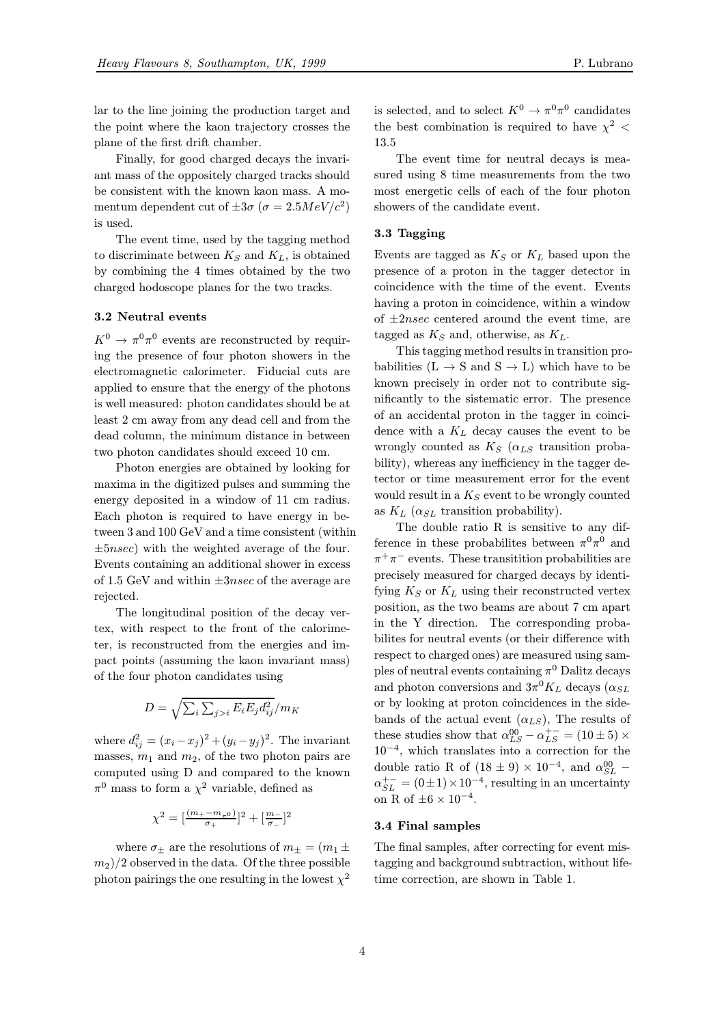lar to the line joining the production target and the point where the kaon trajectory crosses the plane of the first drift chamber.

Finally, for good charged decays the invariant mass of the oppositely charged tracks should be consistent with the known kaon mass. A momentum dependent cut of  $\pm 3\sigma$  ( $\sigma = 2.5MeV/c^2$ ) is used.

The event time, used by the tagging method to discriminate between  $K_S$  and  $K_L$ , is obtained by combining the 4 times obtained by the two charged hodoscope planes for the two tracks.

#### 3.2 Neutral events

 $K^0 \to \pi^0 \pi^0$  events are reconstructed by requiring the presence of four photon showers in the electromagnetic calorimeter. Fiducial cuts are applied to ensure that the energy of the photons is well measured: photon candidates should be at least 2 cm away from any dead cell and from the dead column, the minimum distance in between two photon candidates should exceed 10 cm.

Photon energies are obtained by looking for maxima in the digitized pulses and summing the energy deposited in a window of 11 cm radius. Each photon is required to have energy in between 3 and 100 GeV and a time consistent (within  $\pm 5nsec$ ) with the weighted average of the four. Events containing an additional shower in excess of 1.5 GeV and within  $\pm 3nsec$  of the average are rejected.

The longitudinal position of the decay vertex, with respect to the front of the calorimeter, is reconstructed from the energies and impact points (assuming the kaon invariant mass) of the four photon candidates using

$$
D = \sqrt{\sum_{i} \sum_{j>i} E_i E_j d_{ij}^2}/m_K
$$

where  $d_{ij}^2 = (x_i - x_j)^2 + (y_i - y_j)^2$ . The invariant masses,  $m_1$  and  $m_2$ , of the two photon pairs are computed using D and compared to the known  $\pi^0$  mass to form a  $\chi^2$  variable, defined as

$$
\chi^2=[\tfrac{(m_+-m_{\pi^0})}{\sigma_+}]^2+[\tfrac{m_-}{\sigma_-}]^2
$$

where  $\sigma_{\pm}$  are the resolutions of  $m_{\pm} = (m_1 \pm$  $(m<sub>2</sub>)/2$  observed in the data. Of the three possible photon pairings the one resulting in the lowest  $\chi^2$ 

is selected, and to select  $K^0 \to \pi^0 \pi^0$  candidates the best combination is required to have  $\chi^2$  < 13.5

The event time for neutral decays is measured using 8 time measurements from the two most energetic cells of each of the four photon showers of the candidate event.

#### 3.3 Tagging

Events are tagged as  $K_S$  or  $K_L$  based upon the presence of a proton in the tagger detector in coincidence with the time of the event. Events having a proton in coincidence, within a window of  $\pm 2nsec$  centered around the event time, are tagged as  $K_S$  and, otherwise, as  $K_L$ .

This tagging method results in transition probabilities  $(L \rightarrow S \text{ and } S \rightarrow L)$  which have to be known precisely in order not to contribute significantly to the sistematic error. The presence of an accidental proton in the tagger in coincidence with a  $K_L$  decay causes the event to be wrongly counted as  $K_S$  ( $\alpha_{LS}$  transition probability), whereas any inefficiency in the tagger detector or time measurement error for the event would result in a  $K_S$  event to be wrongly counted as  $K_L$  ( $\alpha_{SL}$  transition probability).

The double ratio R is sensitive to any difference in these probabilites between  $\pi^0 \pi^0$  and  $\pi^+\pi^-$  events. These transition probabilities are precisely measured for charged decays by identifying  $K_S$  or  $K_L$  using their reconstructed vertex position, as the two beams are about 7 cm apart in the Y direction. The corresponding probabilites for neutral events (or their difference with respect to charged ones) are measured using samples of neutral events containing  $\pi^0$  Dalitz decays and photon conversions and  $3\pi^0 K_L$  decays ( $\alpha_{SL}$ ) or by looking at proton coincidences in the sidebands of the actual event  $(\alpha_{LS})$ , The results of these studies show that  $\alpha_{LS}^{00} - \alpha_{LS}^{+-} = (10 \pm 5) \times$ 10−<sup>4</sup>, which translates into a correction for the double ratio R of  $(18 \pm 9) \times 10^{-4}$ , and  $\alpha_{SL}^{00}$  –  $\alpha_{SL}^{+-} = (0 \pm 1) \times 10^{-4}$ , resulting in an uncertainty on R of  $\pm 6 \times 10^{-4}$ .

#### 3.4 Final samples

The final samples, after correcting for event mistagging and background subtraction, without lifetime correction, are shown in Table 1.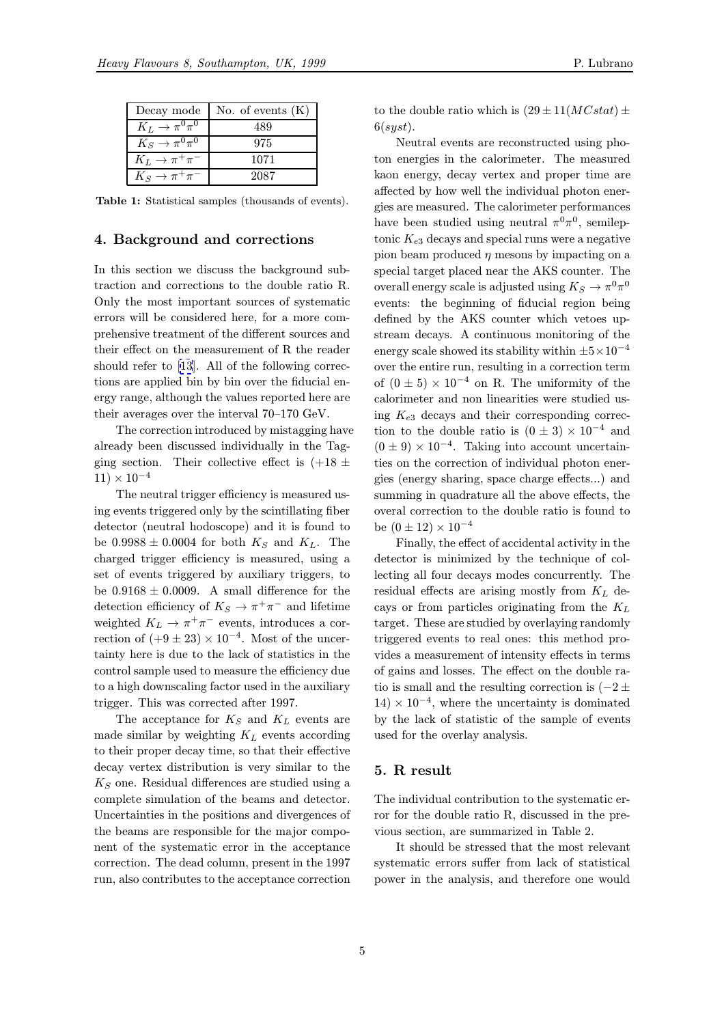| Decay mode                    | No. of events $(K)$ |
|-------------------------------|---------------------|
| $K_L \rightarrow \pi^0 \pi^0$ | 489                 |
| $K_S \to \pi^0 \pi^0$         | 975                 |
| $K_L \rightarrow \pi^+\pi^-$  | 1071                |
| $K_S \to \pi^+\pi^-$          | 2087                |

Table 1: Statistical samples (thousands of events).

#### 4. Background and corrections

In this section we discuss the background subtraction and corrections to the double ratio R. Only the most important sources of systematic errors will be considered here, for a more comprehensive treatment of the different sources and their effect on the measurement of R the reader should refer to [13]. All of the following corrections are applied bin by bin over the fiducial energy range, although the values reported here are their averages over the interval 70–170 GeV.

The correcti[on](#page-6-0) introduced by mistagging have already been discussed individually in the Tagging section. Their collective effect is  $(+18 \pm$  $11) \times 10^{-4}$ 

The neutral trigger efficiency is measured using events triggered only by the scintillating fiber detector (neutral hodoscope) and it is found to be  $0.9988 \pm 0.0004$  for both  $K_S$  and  $K_L$ . The charged trigger efficiency is measured, using a set of events triggered by auxiliary triggers, to be  $0.9168 \pm 0.0009$ . A small difference for the detection efficiency of  $K_S \to \pi^+\pi^-$  and lifetime weighted  $K_L \to \pi^+ \pi^-$  events, introduces a correction of  $(+9 \pm 23) \times 10^{-4}$ . Most of the uncertainty here is due to the lack of statistics in the control sample used to measure the efficiency due to a high downscaling factor used in the auxiliary trigger. This was corrected after 1997.

The acceptance for  $K_S$  and  $K_L$  events are made similar by weighting  $K_L$  events according to their proper decay time, so that their effective decay vertex distribution is very similar to the  $K<sub>S</sub>$  one. Residual differences are studied using a complete simulation of the beams and detector. Uncertainties in the positions and divergences of the beams are responsible for the major component of the systematic error in the acceptance correction. The dead column, present in the 1997 run, also contributes to the acceptance correction

to the double ratio which is  $(29 \pm 11(MCstat) \pm 1)$  $6(syst).$ 

Neutral events are reconstructed using photon energies in the calorimeter. The measured kaon energy, decay vertex and proper time are affected by how well the individual photon energies are measured. The calorimeter performances have been studied using neutral  $\pi^0 \pi^0$ , semileptonic  $K_{e3}$  decays and special runs were a negative pion beam produced  $\eta$  mesons by impacting on a special target placed near the AKS counter. The overall energy scale is adjusted using  $K_S \to \pi^0 \pi^0$ events: the beginning of fiducial region being defined by the AKS counter which vetoes upstream decays. A continuous monitoring of the energy scale showed its stability within  $\pm 5 \times 10^{-4}$ over the entire run, resulting in a correction term of  $(0 \pm 5) \times 10^{-4}$  on R. The uniformity of the calorimeter and non linearities were studied using  $K_{e3}$  decays and their corresponding correction to the double ratio is  $(0 \pm 3) \times 10^{-4}$  and  $(0 \pm 9) \times 10^{-4}$ . Taking into account uncertainties on the correction of individual photon energies (energy sharing, space charge effects...) and summing in quadrature all the above effects, the overal correction to the double ratio is found to be  $(0 \pm 12) \times 10^{-4}$ 

Finally, the effect of accidental activity in the detector is minimized by the technique of collecting all four decays modes concurrently. The residual effects are arising mostly from  $K_L$  decays or from particles originating from the  $K_L$ target. These are studied by overlaying randomly triggered events to real ones: this method provides a measurement of intensity effects in terms of gains and losses. The effect on the double ratio is small and the resulting correction is  $(-2 \pm 1)$  $14 \times 10^{-4}$ , where the uncertainty is dominated by the lack of statistic of the sample of events used for the overlay analysis.

#### 5. R result

The individual contribution to the systematic error for the double ratio R, discussed in the previous section, are summarized in Table 2.

It should be stressed that the most relevant systematic errors suffer from lack of statistical power in the analysis, and therefore one would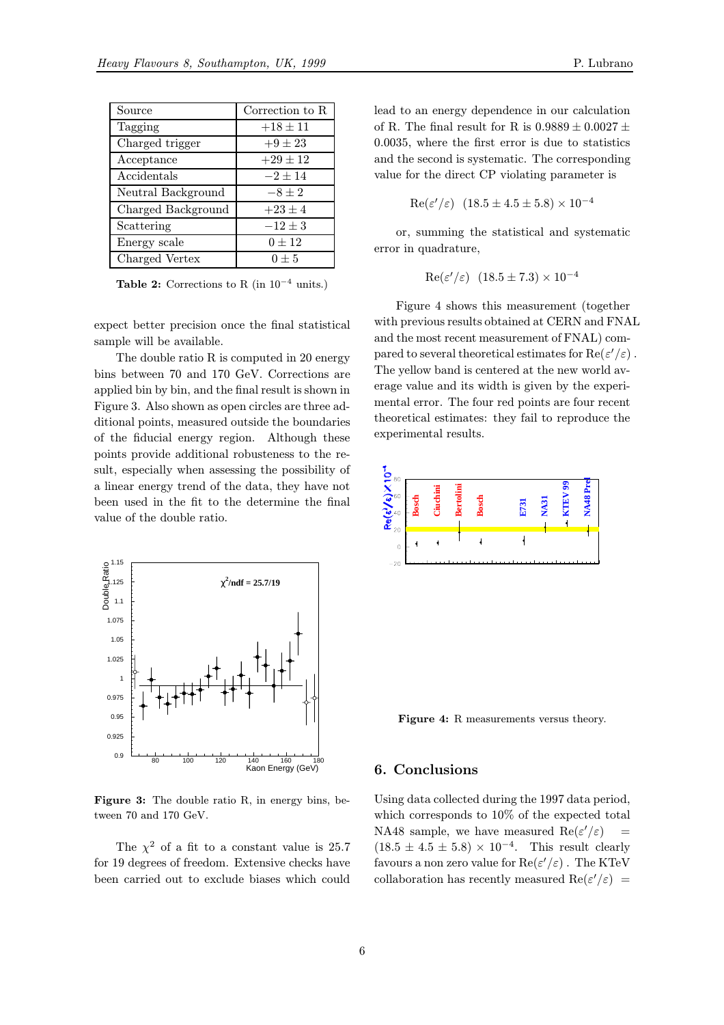| Source             | Correction to R |
|--------------------|-----------------|
| Tagging            | $+18 \pm 11$    |
| Charged trigger    | $+9 \pm 23$     |
| Acceptance         | $+29 \pm 12$    |
| Accidentals        | $-2+14$         |
| Neutral Background | $-8 \pm 2$      |
| Charged Background | $+23 \pm 4$     |
| Scattering         | $-12 \pm 3$     |
| Energy scale       | $0 \pm 12$      |
| Charged Vertex     | $0 + 5$         |

Table 2: Corrections to R (in  $10^{-4}$  units.)

expect better precision once the final statistical sample will be available.

The double ratio R is computed in 20 energy bins between 70 and 170 GeV. Corrections are applied bin by bin, and the final result is shown in Figure 3. Also shown as open circles are three additional points, measured outside the boundaries of the fiducial energy region. Although these points provide additional robusteness to the result, especially when assessing the possibility of a linear energy trend of the data, they have not been used in the fit to the determine the final value of the double ratio.



Figure 3: The double ratio R, in energy bins, between 70 and 170 GeV.

The  $\chi^2$  of a fit to a constant value is 25.7 for 19 degrees of freedom. Extensive checks have been carried out to exclude biases which could

lead to an energy dependence in our calculation of R. The final result for R is  $0.9889 \pm 0.0027 \pm 0.0027$ 0.0035, where the first error is due to statistics and the second is systematic. The corresponding value for the direct CP violating parameter is

$$
Re(\varepsilon'/\varepsilon) \ (18.5 \pm 4.5 \pm 5.8) \times 10^{-4}
$$

or, summing the statistical and systematic error in quadrature,

$$
Re(\varepsilon'/\varepsilon) \ (18.5 \pm 7.3) \times 10^{-4}
$$

Figure 4 shows this measurement (together with previous results obtained at CERN and FNAL and the most recent measurement of FNAL) compared to several theoretical estimates for  $\text{Re}(\varepsilon'/\varepsilon)$ . The yellow band is centered at the new world average value and its width is given by the experimental error. The four red points are four recent theoretical estimates: they fail to reproduce the experimental results.



Figure 4: R measurements versus theory.

# 6. Conclusions

Using data collected during the 1997 data period, which corresponds to 10% of the expected total NA48 sample, we have measured  $\text{Re}(\varepsilon'/\varepsilon)$  =  $(18.5 \pm 4.5 \pm 5.8) \times 10^{-4}$ . This result clearly favours a non zero value for  $\text{Re}(\varepsilon'/\varepsilon)$  . The KTeV collaboration has recently measured  $\text{Re}(\varepsilon'/\varepsilon)$  =